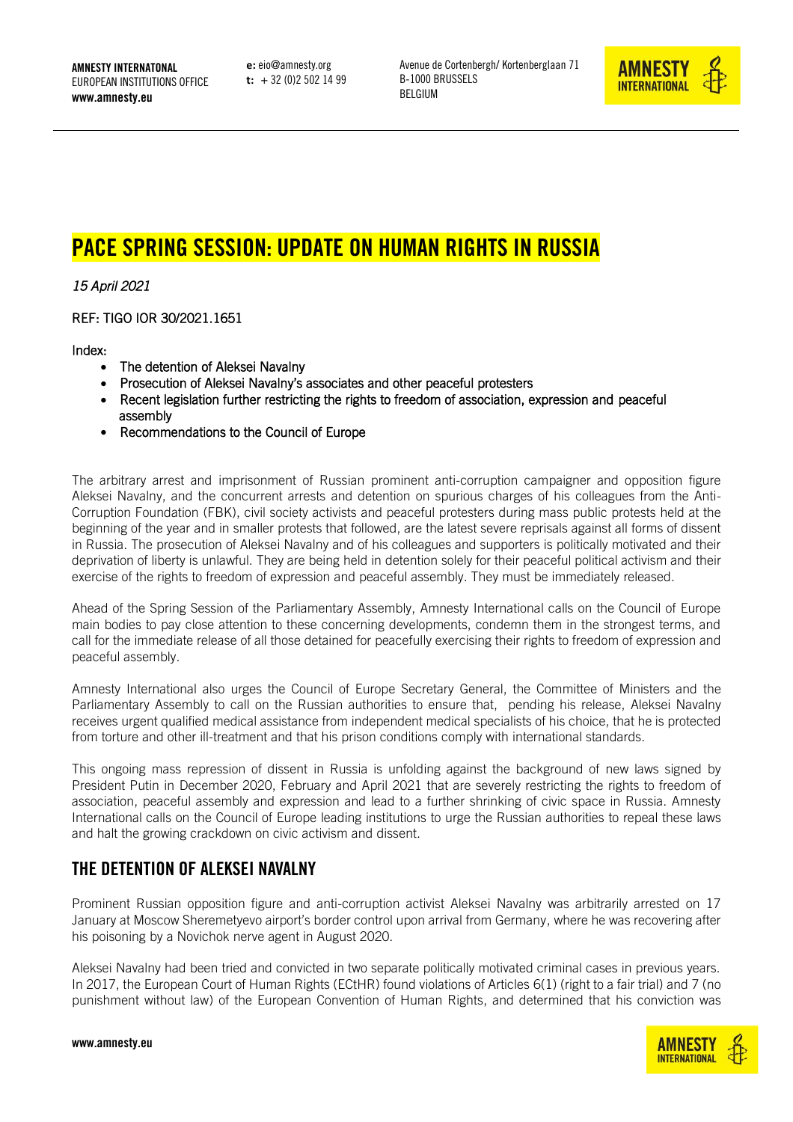AMNESTY INTERNATONAL EUROPEAN INSTITUTIONS OFFICE www.amnesty.eu

**e:** eio@amnesty.org **t:** + 32 (0)2 502 14 99 Avenue de Cortenbergh/ Kortenberglaan 71 B-1000 BRUSSELS BELGIUM



# PACE SPRING SESSION: UPDATE ON HUMAN RIGHTS IN RUSSIA

*15 April 2021* 

REF: TIGO IOR 30/2021.1651

Index:

- The detention of Aleksei Navalny
- Prosecution of Aleksei Navalny's associates and other peaceful protesters
- Recent legislation further restricting the rights to freedom of association, expression and peaceful assembly
- Recommendations to the Council of Europe

The arbitrary arrest and imprisonment of Russian prominent anti-corruption campaigner and opposition figure Aleksei Navalny, and the concurrent arrests and detention on spurious charges of his colleagues from the Anti-Corruption Foundation (FBK), civil society activists and peaceful protesters during mass public protests held at the beginning of the year and in smaller protests that followed, are the latest severe reprisals against all forms of dissent in Russia. The prosecution of Aleksei Navalny and of his colleagues and supporters is politically motivated and their deprivation of liberty is unlawful. They are being held in detention solely for their peaceful political activism and their exercise of the rights to freedom of expression and peaceful assembly. They must be immediately released.

Ahead of the Spring Session of the Parliamentary Assembly, Amnesty International calls on the Council of Europe main bodies to pay close attention to these concerning developments, condemn them in the strongest terms, and call for the immediate release of all those detained for peacefully exercising their rights to freedom of expression and peaceful assembly.

Amnesty International also urges the Council of Europe Secretary General, the Committee of Ministers and the Parliamentary Assembly to call on the Russian authorities to ensure that, pending his release, Aleksei Navalny receives urgent qualified medical assistance from independent medical specialists of his choice, that he is protected from torture and other ill-treatment and that his prison conditions comply with international standards.

This ongoing mass repression of dissent in Russia is unfolding against the background of new laws signed by President Putin in December 2020, February and April 2021 that are severely restricting the rights to freedom of association, peaceful assembly and expression and lead to a further shrinking of civic space in Russia. Amnesty International calls on the Council of Europe leading institutions to urge the Russian authorities to repeal these laws and halt the growing crackdown on civic activism and dissent.

## THE DETENTION OF ALEKSEI NAVALNY

Prominent Russian opposition figure and anti-corruption activist Aleksei Navalny was arbitrarily arrested on 17 January at Moscow Sheremetyevo airport's border control upon arrival from Germany, where he was recovering after his poisoning by a Novichok nerve agent in August 2020.

Aleksei Navalny had been tried and convicted in two separate politically motivated criminal cases in previous years. In 2017, the European Court of Human Rights (ECtHR) found violations of Articles 6(1) (right to a fair trial) and 7 (no punishment without law) of the European Convention of Human Rights, and determined that his conviction was

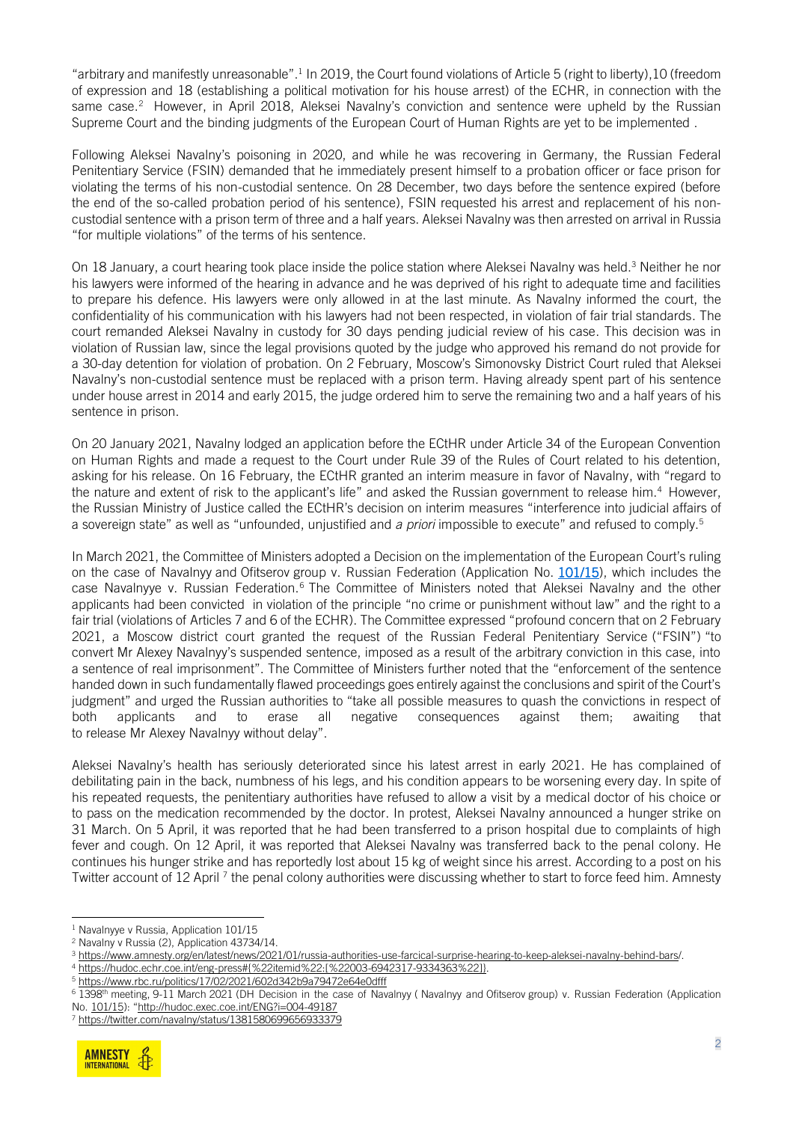"arbitrary and manifestly unreasonable". 1 In 2019, the Court found violations of Article 5 (right to liberty),10 (freedom of expression and 18 (establishing a political motivation for his house arrest) of the ECHR, in connection with the same case. 2 However, in April 2018, Aleksei Navalny's conviction and sentence were upheld by the Russian Supreme Court and the binding judgments of the European Court of Human Rights are yet to be implemented .

Following Aleksei Navalny's poisoning in 2020, and while he was recovering in Germany, the Russian Federal Penitentiary Service (FSIN) demanded that he immediately present himself to a probation officer or face prison for violating the terms of his non-custodial sentence. On 28 December, two days before the sentence expired (before the end of the so-called probation period of his sentence), FSIN requested his arrest and replacement of his noncustodial sentence with a prison term of three and a half years. Aleksei Navalny was then arrested on arrival in Russia "for multiple violations" of the terms of his sentence.

On 18 January, a court hearing took place inside the police station where Aleksei Navalny was held.<sup>3</sup> Neither he nor his lawyers were informed of the hearing in advance and he was deprived of his right to adequate time and facilities to prepare his defence. His lawyers were only allowed in at the last minute. As Navalny informed the court, the confidentiality of his communication with his lawyers had not been respected, in violation of fair trial standards. The court remanded Aleksei Navalny in custody for 30 days pending judicial review of his case. This decision was in violation of Russian law, since the legal provisions quoted by the judge who approved his remand do not provide for a 30-day detention for violation of probation. On 2 February, Moscow's Simonovsky District Court ruled that Aleksei Navalny's non-custodial sentence must be replaced with a prison term. Having already spent part of his sentence under house arrest in 2014 and early 2015, the judge ordered him to serve the remaining two and a half years of his sentence in prison.

On 20 January 2021, Navalny lodged an application before the ECtHR under Article 34 of the European Convention on Human Rights and made a request to the Court under Rule 39 of the Rules of Court related to his detention, asking for his release. On 16 February, the ECtHR granted an interim measure in favor of Navalny, with "regard to the nature and extent of risk to the applicant's life" and asked the Russian government to release him.<sup>4</sup> However, the Russian Ministry of Justice called the ECtHR's decision on interim measures "interference into judicial affairs of a sovereign state" as well as "unfounded, unjustified and *a priori* impossible to execute" and refused to comply.<sup>5</sup>

In March 2021, the Committee of Ministers adopted a Decision on the implementation of the European Court's ruling on the case of Navalnyy and Ofitserov group v. Russian Federation (Application No. [101/15\)](https://hudoc.exec.coe.int/eng#{%22EXECDocumentTypeCollection%22:[%22CEC%22],%22EXECAppno%22:[%22101/15%22]}), which includes the case Navalnyye v. Russian Federation.<sup>6</sup> The Committee of Ministers noted that Aleksei Navalny and the other applicants had been convicted in violation of the principle "no crime or punishment without law" and the right to a fair trial (violations of Articles 7 and 6 of the ECHR). The Committee expressed "profound concern that on 2 February 2021, a Moscow district court granted the request of the Russian Federal Penitentiary Service ("FSIN") "to convert Mr Alexey Navalnyy's suspended sentence, imposed as a result of the arbitrary conviction in this case, into a sentence of real imprisonment". The Committee of Ministers further noted that the "enforcement of the sentence handed down in such fundamentally flawed proceedings goes entirely against the conclusions and spirit of the Court's judgment" and urged the Russian authorities to "take all possible measures to quash the convictions in respect of both applicants and to erase all negative consequences against them; awaiting that to release Mr Alexey Navalnyy without delay".

Aleksei Navalny's health has seriously deteriorated since his latest arrest in early 2021. He has complained of debilitating pain in the back, numbness of his legs, and his condition appears to be worsening every day. In spite of his repeated requests, the penitentiary authorities have refused to allow a visit by a medical doctor of his choice or to pass on the medication recommended by the doctor. In protest, Aleksei Navalny announced a hunger strike on 31 March. On 5 April, it was reported that he had been transferred to a prison hospital due to complaints of high fever and cough. On 12 April, it was reported that Aleksei Navalny was transferred back to the penal colony. He continues his hunger strike and has reportedly lost about 15 kg of weight since his arrest. According to a post on his Twitter account of 12 April <sup>7</sup> the penal colony authorities were discussing whether to start to force feed him. Amnesty

<sup>7</sup> <https://twitter.com/navalny/status/1381580699656933379>



<sup>&</sup>lt;sup>1</sup> Navalnyye v Russia, Application 101/15

<sup>2</sup> Navalny v Russia (2), Application 43734/14.

<sup>3</sup> [https://www.amnesty.org/en/latest/news/2021/01/russia-authorities-use-farcical-surprise-hearing-to-keep-aleksei-navalny-behind-bars/.](https://www.amnesty.org/en/latest/news/2021/01/russia-authorities-use-farcical-surprise-hearing-to-keep-aleksei-navalny-behind-bars/)

<sup>4</sup> [https://hudoc.echr.coe.int/eng-press#{%22itemid%22:\[%22003-6942317-9334363%22\]}.](https://hudoc.echr.coe.int/eng-press#{%22itemid%22:[%22003-6942317-9334363%22]})

<sup>5</sup> https://www.rbc.ru/politics/17/02/2021/602d342b9a79472e64e0dfff

<sup>&</sup>lt;sup>6</sup> 1398<sup>th</sup> meeting, 9-11 March 2021 (DH Decision in the case of Navalnyy (Navalnyy and Ofitserov group) v. Russian Federation (Application

No. [101/15\)](https://hudoc.exec.coe.int/eng#{%22EXECDocumentTypeCollection%22:[%22CEC%22],%22EXECAppno%22:[%22101/15%22]}): "http://hudoc.exec.coe.int/ENG?i=004-49187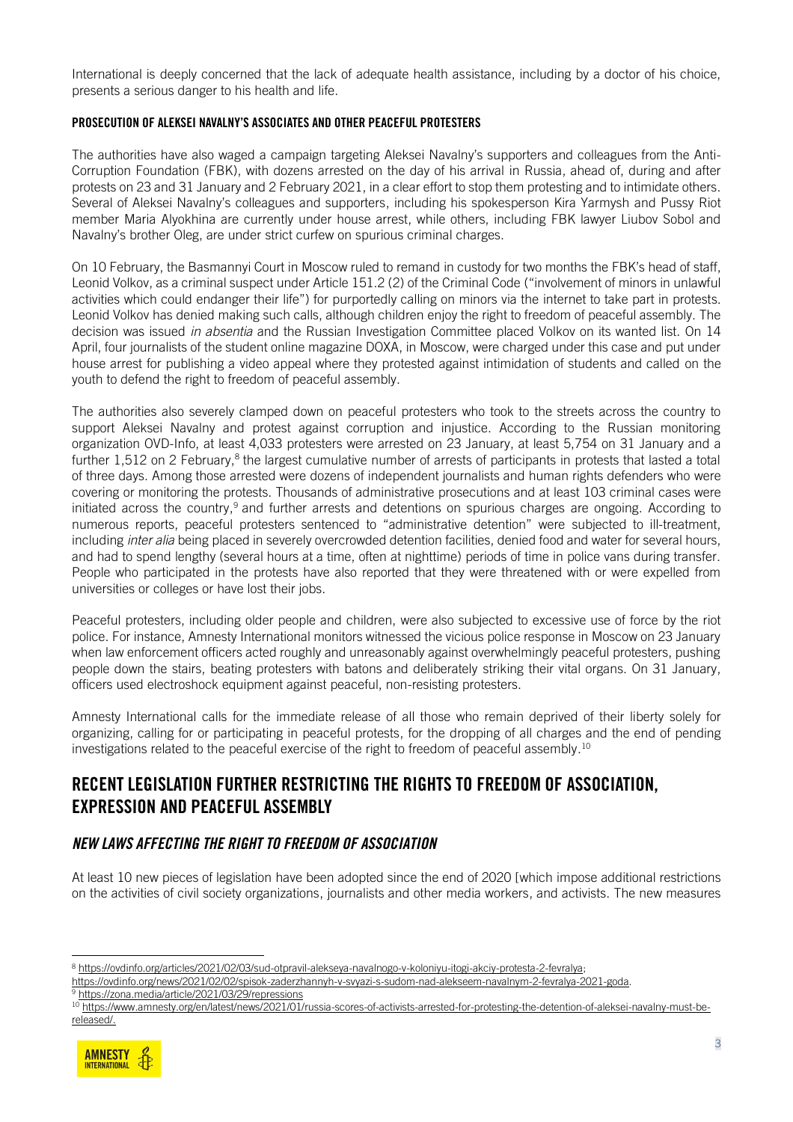International is deeply concerned that the lack of adequate health assistance, including by a doctor of his choice, presents a serious danger to his health and life.

#### PROSECUTION OF ALEKSEI NAVALNY'S ASSOCIATES AND OTHER PEACEFUL PROTESTERS

The authorities have also waged a campaign targeting Aleksei Navalny's supporters and colleagues from the Anti-Corruption Foundation (FBK), with dozens arrested on the day of his arrival in Russia, ahead of, during and after protests on 23 and 31 January and 2 February 2021, in a clear effort to stop them protesting and to intimidate others. Several of Aleksei Navalny's colleagues and supporters, including his spokesperson Kira Yarmysh and Pussy Riot member Maria Alyokhina are currently under house arrest, while others, including FBK lawyer Liubov Sobol and Navalny's brother Oleg, are under strict curfew on spurious criminal charges.

On 10 February, the Basmannyi Court in Moscow ruled to remand in custody for two months the FBK's head of staff, Leonid Volkov, as a criminal suspect under Article 151.2 (2) of the Criminal Code ("involvement of minors in unlawful activities which could endanger their life") for purportedly calling on minors via the internet to take part in protests. Leonid Volkov has denied making such calls, although children enjoy the right to freedom of peaceful assembly. The decision was issued *in absentia* and the Russian Investigation Committee placed Volkov on its wanted list. On 14 April, four journalists of the student online magazine DOXA, in Moscow, were charged under this case and put under house arrest for publishing a video appeal where they protested against intimidation of students and called on the youth to defend the right to freedom of peaceful assembly.

The authorities also severely clamped down on peaceful protesters who took to the streets across the country to support Aleksei Navalny and protest against corruption and injustice. According to the Russian monitoring organization OVD-Info, at least 4,033 protesters were arrested on 23 January, at least 5,754 on 31 January and a further 1,512 on 2 February,<sup>8</sup> the largest cumulative number of arrests of participants in protests that lasted a total of three days. Among those arrested were dozens of independent journalists and human rights defenders who were covering or monitoring the protests. Thousands of administrative prosecutions and at least 103 criminal cases were initiated across the country,<sup>9</sup> and further arrests and detentions on spurious charges are ongoing. According to numerous reports, peaceful protesters sentenced to "administrative detention" were subjected to ill-treatment, including *inter alia* being placed in severely overcrowded detention facilities, denied food and water for several hours, and had to spend lengthy (several hours at a time, often at nighttime) periods of time in police vans during transfer. People who participated in the protests have also reported that they were threatened with or were expelled from universities or colleges or have lost their jobs.

Peaceful protesters, including older people and children, were also subjected to excessive use of force by the riot police. For instance, Amnesty International monitors witnessed the vicious police response in Moscow on 23 January when law enforcement officers acted roughly and unreasonably against overwhelmingly peaceful protesters, pushing people down the stairs, beating protesters with batons and deliberately striking their vital organs. On 31 January, officers used electroshock equipment against peaceful, non-resisting protesters.

Amnesty International calls for the immediate release of all those who remain deprived of their liberty solely for organizing, calling for or participating in peaceful protests, for the dropping of all charges and the end of pending investigations related to the peaceful exercise of the right to freedom of peaceful assembly.<sup>10</sup>

## RECENT LEGISLATION FURTHER RESTRICTING THE RIGHTS TO FREEDOM OF ASSOCIATION, EXPRESSION AND PEACEFUL ASSEMBLY

#### *NEW LAWS AFFECTING THE RIGHT TO FREEDOM OF ASSOCIATION*

At least 10 new pieces of legislation have been adopted since the end of 2020 [which impose additional restrictions on the activities of civil society organizations, journalists and other media workers, and activists. The new measures

<sup>10</sup> [https://www.amnesty.org/en/latest/news/2021/01/russia-scores-of-activists-arrested-for-protesting-the-detention-of-aleksei-navalny-must-be](https://www.amnesty.org/en/latest/news/2021/01/russia-scores-of-activists-arrested-for-protesting-the-detention-of-aleksei-navalny-must-be-released/)[released/.](https://www.amnesty.org/en/latest/news/2021/01/russia-scores-of-activists-arrested-for-protesting-the-detention-of-aleksei-navalny-must-be-released/)



<sup>8</sup> [https://ovdinfo.org/articles/2021/02/03/sud-otpravil-alekseya-navalnogo-v-koloniyu-itogi-akciy-protesta-2-fevralya;](https://ovdinfo.org/articles/2021/02/03/sud-otpravil-alekseya-navalnogo-v-koloniyu-itogi-akciy-protesta-2-fevralya)

[https://ovdinfo.org/news/2021/02/02/spisok-zaderzhannyh-v-svyazi-s-sudom-nad-alekseem-navalnym-2-fevralya-2021-goda.](https://ovdinfo.org/news/2021/02/02/spisok-zaderzhannyh-v-svyazi-s-sudom-nad-alekseem-navalnym-2-fevralya-2021-goda) <sup>9</sup> https://zona.media/article/2021/03/29/repressions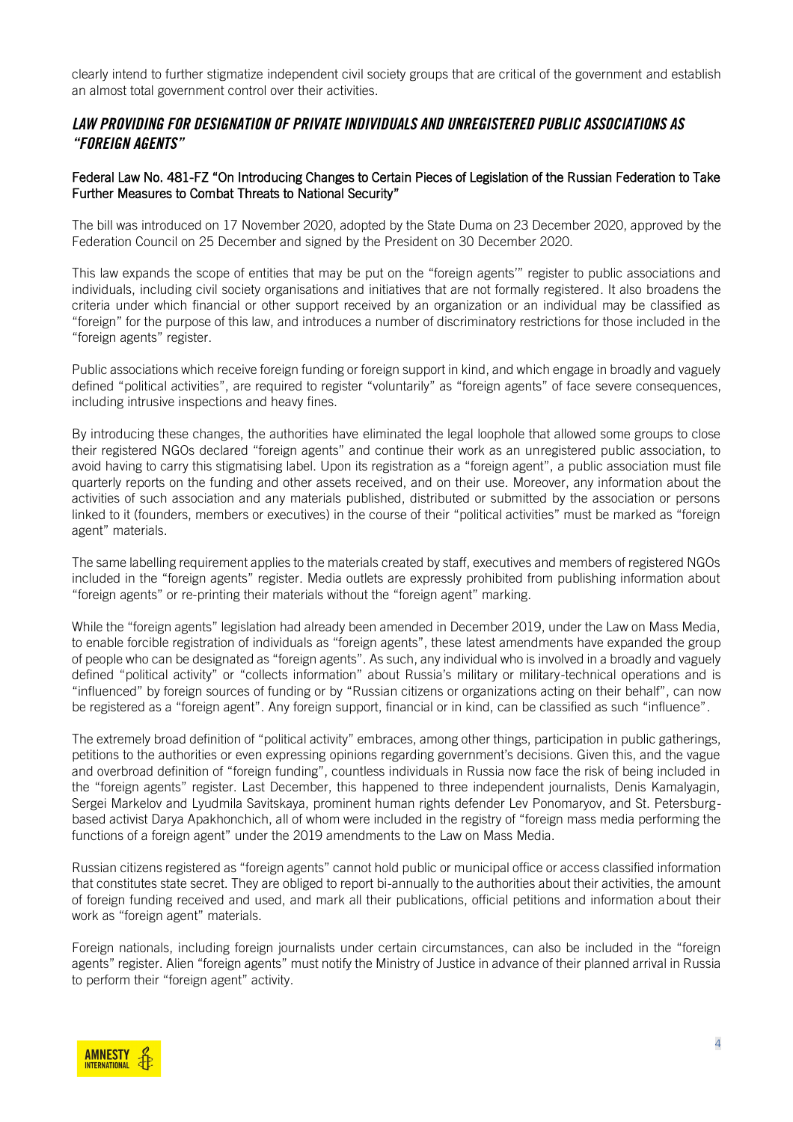clearly intend to further stigmatize independent civil society groups that are critical of the government and establish an almost total government control over their activities.

#### *LAW PROVIDING FOR DESIGNATION OF PRIVATE INDIVIDUALS AND UNREGISTERED PUBLIC ASSOCIATIONS AS "FOREIGN AGENTS"*

#### Federal Law No. 481-FZ "On Introducing Changes to Certain Pieces of Legislation of the Russian Federation to Take Further Measures to Combat Threats to National Security"

The bill was introduced on 17 November 2020, adopted by the State Duma on 23 December 2020, approved by the Federation Council on 25 December and signed by the President on 30 December 2020.

This law expands the scope of entities that may be put on the "foreign agents'" register to public associations and individuals, including civil society organisations and initiatives that are not formally registered. It also broadens the criteria under which financial or other support received by an organization or an individual may be classified as "foreign" for the purpose of this law, and introduces a number of discriminatory restrictions for those included in the "foreign agents" register.

Public associations which receive foreign funding or foreign support in kind, and which engage in broadly and vaguely defined "political activities", are required to register "voluntarily" as "foreign agents" of face severe consequences, including intrusive inspections and heavy fines.

By introducing these changes, the authorities have eliminated the legal loophole that allowed some groups to close their registered NGOs declared "foreign agents" and continue their work as an unregistered public association, to avoid having to carry this stigmatising label. Upon its registration as a "foreign agent", a public association must file quarterly reports on the funding and other assets received, and on their use. Moreover, any information about the activities of such association and any materials published, distributed or submitted by the association or persons linked to it (founders, members or executives) in the course of their "political activities" must be marked as "foreign agent" materials.

The same labelling requirement applies to the materials created by staff, executives and members of registered NGOs included in the "foreign agents" register. Media outlets are expressly prohibited from publishing information about "foreign agents" or re-printing their materials without the "foreign agent" marking.

While the "foreign agents" legislation had already been amended in December 2019, under the Law on Mass Media, to enable forcible registration of individuals as "foreign agents", these latest amendments have expanded the group of people who can be designated as "foreign agents". As such, any individual who is involved in a broadly and vaguely defined "political activity" or "collects information" about Russia's military or military-technical operations and is "influenced" by foreign sources of funding or by "Russian citizens or organizations acting on their behalf", can now be registered as a "foreign agent". Any foreign support, financial or in kind, can be classified as such "influence".

The extremely broad definition of "political activity" embraces, among other things, participation in public gatherings, petitions to the authorities or even expressing opinions regarding government's decisions. Given this, and the vague and overbroad definition of "foreign funding", countless individuals in Russia now face the risk of being included in the "foreign agents" register. Last December, this happened to three independent journalists, Denis Kamalyagin, Sergei Markelov and Lyudmila Savitskaya, prominent human rights defender Lev Ponomaryov, and St. Petersburgbased activist Darya Apakhonchich, all of whom were included in the registry of "foreign mass media performing the functions of a foreign agent" under the 2019 amendments to the Law on Mass Media.

Russian citizens registered as "foreign agents" cannot hold public or municipal office or access classified information that constitutes state secret. They are obliged to report bi-annually to the authorities about their activities, the amount of foreign funding received and used, and mark all their publications, official petitions and information about their work as "foreign agent" materials.

Foreign nationals, including foreign journalists under certain circumstances, can also be included in the "foreign agents" register. Alien "foreign agents" must notify the Ministry of Justice in advance of their planned arrival in Russia to perform their "foreign agent" activity.

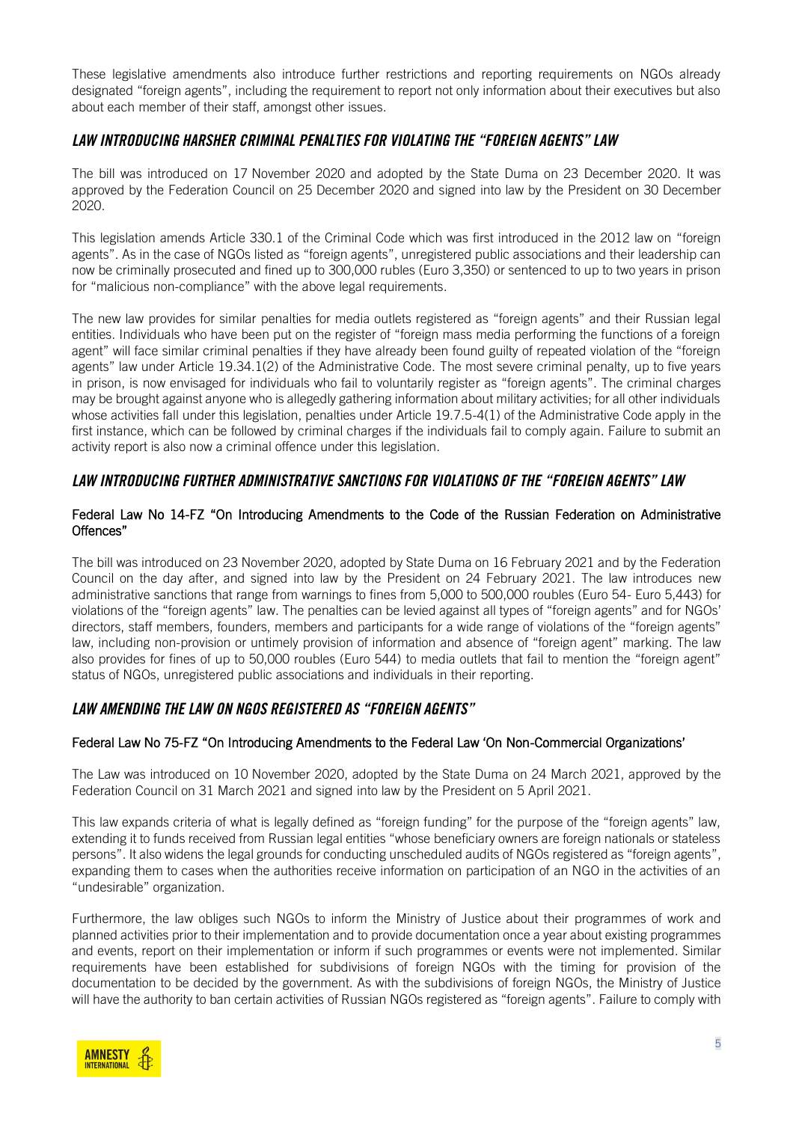These legislative amendments also introduce further restrictions and reporting requirements on NGOs already designated "foreign agents", including the requirement to report not only information about their executives but also about each member of their staff, amongst other issues.

#### *LAW INTRODUCING HARSHER CRIMINAL PENALTIES FOR VIOLATING THE "FOREIGN AGENTS" LAW*

The bill was introduced on 17 November 2020 and adopted by the State Duma on 23 December 2020. It was approved by the Federation Council on 25 December 2020 and signed into law by the President on 30 December 2020.

This legislation amends Article 330.1 of the Criminal Code which was first introduced in the 2012 law on "foreign agents". As in the case of NGOs listed as "foreign agents", unregistered public associations and their leadership can now be criminally prosecuted and fined up to 300,000 rubles (Euro 3,350) or sentenced to up to two years in prison for "malicious non-compliance" with the above legal requirements.

The new law provides for similar penalties for media outlets registered as "foreign agents" and their Russian legal entities. Individuals who have been put on the register of "foreign mass media performing the functions of a foreign agent" will face similar criminal penalties if they have already been found guilty of repeated violation of the "foreign agents" law under Article 19.34.1(2) of the Administrative Code. The most severe criminal penalty, up to five years in prison, is now envisaged for individuals who fail to voluntarily register as "foreign agents". The criminal charges may be brought against anyone who is allegedly gathering information about military activities; for all other individuals whose activities fall under this legislation, penalties under Article 19.7.5-4(1) of the Administrative Code apply in the first instance, which can be followed by criminal charges if the individuals fail to comply again. Failure to submit an activity report is also now a criminal offence under this legislation.

#### *LAW INTRODUCING FURTHER ADMINISTRATIVE SANCTIONS FOR VIOLATIONS OF THE "FOREIGN AGENTS" LAW*

#### Federal Law No 14-FZ "On Introducing Amendments to the Code of the Russian Federation on Administrative Offences"

The bill was introduced on 23 November 2020, adopted by State Duma on 16 February 2021 and by the Federation Council on the day after, and signed into law by the President on 24 February 2021. The law introduces new administrative sanctions that range from warnings to fines from 5,000 to 500,000 roubles (Euro 54- Euro 5,443) for violations of the "foreign agents" law. The penalties can be levied against all types of "foreign agents" and for NGOs' directors, staff members, founders, members and participants for a wide range of violations of the "foreign agents" law, including non-provision or untimely provision of information and absence of "foreign agent" marking. The law also provides for fines of up to 50,000 roubles (Euro 544) to media outlets that fail to mention the "foreign agent" status of NGOs, unregistered public associations and individuals in their reporting.

### *LAW AMENDING THE LAW ON NGOS REGISTERED AS "FOREIGN AGENTS"*

#### Federal Law No 75-FZ "On Introducing Amendments to the Federal Law 'On Non-Commercial Organizations'

The Law was introduced on 10 November 2020, adopted by the State Duma on 24 March 2021, approved by the Federation Council on 31 March 2021 and signed into law by the President on 5 April 2021.

This law expands criteria of what is legally defined as "foreign funding" for the purpose of the "foreign agents" law, extending it to funds received from Russian legal entities "whose beneficiary owners are foreign nationals or stateless persons". It also widens the legal grounds for conducting unscheduled audits of NGOs registered as "foreign agents", expanding them to cases when the authorities receive information on participation of an NGO in the activities of an "undesirable" organization.

Furthermore, the law obliges such NGOs to inform the Ministry of Justice about their programmes of work and planned activities prior to their implementation and to provide documentation once a year about existing programmes and events, report on their implementation or inform if such programmes or events were not implemented. Similar requirements have been established for subdivisions of foreign NGOs with the timing for provision of the documentation to be decided by the government. As with the subdivisions of foreign NGOs, the Ministry of Justice will have the authority to ban certain activities of Russian NGOs registered as "foreign agents". Failure to comply with

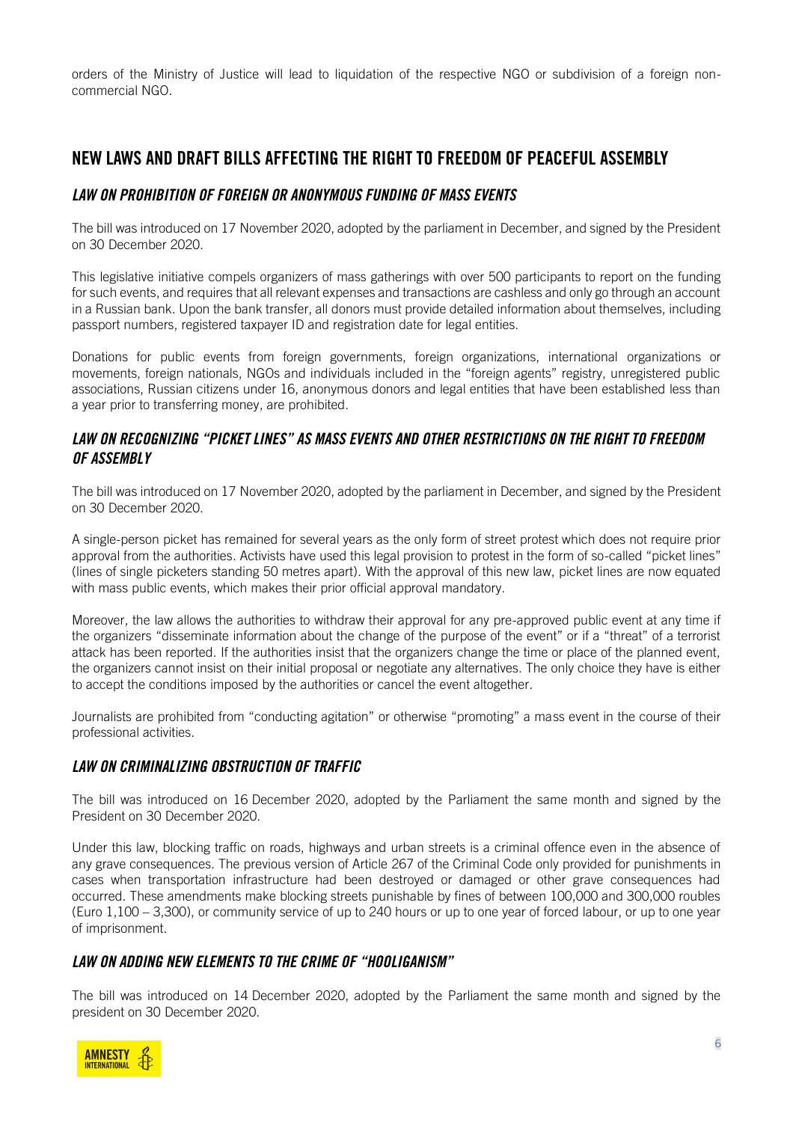orders of the Ministry of Justice will lead to liquidation of the respective NGO or subdivision of a foreign noncommercial NGO.

## NEW LAWS AND DRAFT BILLS AFFECTING THE RIGHT TO FREEDOM OF PEACEFUL ASSEMBLY

### *LAW ON PROHIBITION OF FOREIGN OR ANONYMOUS FUNDING OF MASS EVENTS*

The bill was introduced on 17 November 2020, adopted by the parliament in December, and signed by the President on 30 December 2020.

This legislative initiative compels organizers of mass gatherings with over 500 participants to report on the funding for such events, and requires that all relevant expenses and transactions are cashless and only go through an account in a Russian bank. Upon the bank transfer, all donors must provide detailed information about themselves, including passport numbers, registered taxpayer ID and registration date for legal entities.

Donations for public events from foreign governments, foreign organizations, international organizations or movements, foreign nationals, NGOs and individuals included in the "foreign agents" registry, unregistered public associations, Russian citizens under 16, anonymous donors and legal entities that have been established less than a year prior to transferring money, are prohibited.

### *LAW ON RECOGNIZING "PICKET LINES" AS MASS EVENTS AND OTHER RESTRICTIONS ON THE RIGHT TO FREEDOM OF ASSEMBLY*

The bill was introduced on 17 November 2020, adopted by the parliament in December, and signed by the President on 30 December 2020.

A single-person picket has remained for several years as the only form of street protest which does not require prior approval from the authorities. Activists have used this legal provision to protest in the form of so-called "picket lines" (lines of single picketers standing 50 metres apart). With the approval of this new law, picket lines are now equated with mass public events, which makes their prior official approval mandatory.

Moreover, the law allows the authorities to withdraw their approval for any pre-approved public event at any time if the organizers "disseminate information about the change of the purpose of the event" or if a "threat" of a terrorist attack has been reported. If the authorities insist that the organizers change the time or place of the planned event, the organizers cannot insist on their initial proposal or negotiate any alternatives. The only choice they have is either to accept the conditions imposed by the authorities or cancel the event altogether.

Journalists are prohibited from "conducting agitation" or otherwise "promoting" a mass event in the course of their professional activities.

## *LAW ON CRIMINALIZING OBSTRUCTION OF TRAFFIC*

The bill was introduced on 16 December 2020, adopted by the Parliament the same month and signed by the President on 30 December 2020.

Under this law, blocking traffic on roads, highways and urban streets is a criminal offence even in the absence of any grave consequences. The previous version of Article 267 of the Criminal Code only provided for punishments in cases when transportation infrastructure had been destroyed or damaged or other grave consequences had occurred. These amendments make blocking streets punishable by fines of between 100,000 and 300,000 roubles (Euro 1,100 – 3,300), or community service of up to 240 hours or up to one year of forced labour, or up to one year of imprisonment.

### *LAW ON ADDING NEW ELEMENTS TO THE CRIME OF "HOOLIGANISM"*

The bill was introduced on 14 December 2020, adopted by the Parliament the same month and signed by the president on 30 December 2020.

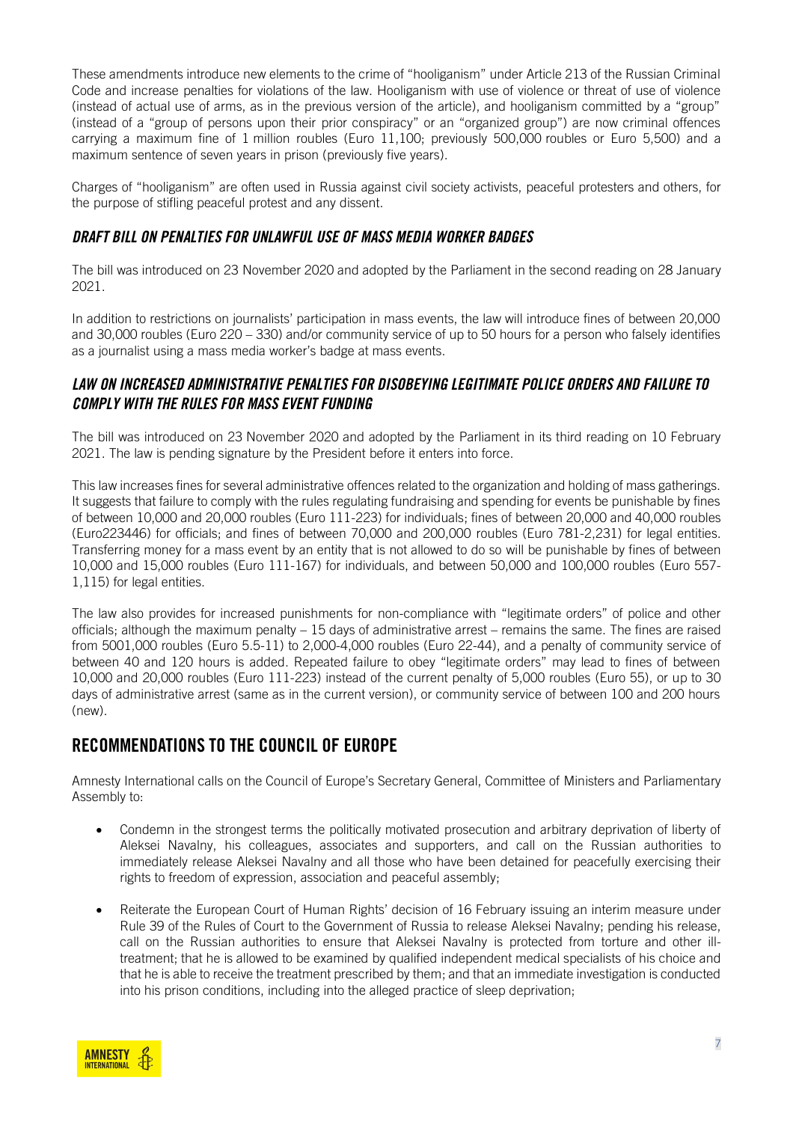These amendments introduce new elements to the crime of "hooliganism" under Article 213 of the Russian Criminal Code and increase penalties for violations of the law. Hooliganism with use of violence or threat of use of violence (instead of actual use of arms, as in the previous version of the article), and hooliganism committed by a "group" (instead of a "group of persons upon their prior conspiracy" or an "organized group") are now criminal offences carrying a maximum fine of 1 million roubles (Euro 11,100; previously 500,000 roubles or Euro 5,500) and a maximum sentence of seven years in prison (previously five years).

Charges of "hooliganism" are often used in Russia against civil society activists, peaceful protesters and others, for the purpose of stifling peaceful protest and any dissent.

### *[DRAFT BILL ON PENALTIES FOR UNLAWFUL USE OF MASS MEDIA WORKER BADGES](https://sozd.duma.gov.ru/bill/1060657-7)*

The bill was introduced on 23 November 2020 and adopted by the Parliament in the second reading on 28 January 2021.

In addition to restrictions on journalists' participation in mass events, the law will introduce fines of between 20,000 and 30,000 roubles (Euro 220 – 330) and/or community service of up to 50 hours for a person who falsely identifies as a journalist using a mass media worker's badge at mass events.

### *LAW [ON INCREASED ADMINISTRATIVE PENALTIES FOR DISOBEYING LEGITIMATE POLICE ORDERS AND FAILURE TO](https://sozd.duma.gov.ru/bill/1060689-7)  [COMPLY WITH THE RULES FOR MASS EVENT FUNDING](https://sozd.duma.gov.ru/bill/1060689-7)*

The bill was introduced on 23 November 2020 and adopted by the Parliament in its third reading on 10 February 2021. The law is pending signature by the President before it enters into force.

This law increases fines for several administrative offences related to the organization and holding of mass gatherings. It suggests that failure to comply with the rules regulating fundraising and spending for events be punishable by fines of between 10,000 and 20,000 roubles (Euro 111-223) for individuals; fines of between 20,000 and 40,000 roubles (Euro223446) for officials; and fines of between 70,000 and 200,000 roubles (Euro 781-2,231) for legal entities. Transferring money for a mass event by an entity that is not allowed to do so will be punishable by fines of between 10,000 and 15,000 roubles (Euro 111-167) for individuals, and between 50,000 and 100,000 roubles (Euro 557- 1,115) for legal entities.

The law also provides for increased punishments for non-compliance with "legitimate orders" of police and other officials; although the maximum penalty – 15 days of administrative arrest – remains the same. The fines are raised from 5001,000 roubles (Euro 5.5-11) to 2,000-4,000 roubles (Euro 22-44), and a penalty of community service of between 40 and 120 hours is added. Repeated failure to obey "legitimate orders" may lead to fines of between 10,000 and 20,000 roubles (Euro 111-223) instead of the current penalty of 5,000 roubles (Euro 55), or up to 30 days of administrative arrest (same as in the current version), or community service of between 100 and 200 hours (new).

## RECOMMENDATIONS TO THE COUNCIL OF EUROPE

Amnesty International calls on the Council of Europe's Secretary General, Committee of Ministers and Parliamentary Assembly to:

- Condemn in the strongest terms the politically motivated prosecution and arbitrary deprivation of liberty of Aleksei Navalny, his colleagues, associates and supporters, and call on the Russian authorities to immediately release Aleksei Navalny and all those who have been detained for peacefully exercising their rights to freedom of expression, association and peaceful assembly;
- Reiterate the European Court of Human Rights' decision of 16 February issuing an interim measure under Rule 39 of the Rules of Court to the Government of Russia to release Aleksei Navalny; pending his release, call on the Russian authorities to ensure that Aleksei Navalny is protected from torture and other illtreatment; that he is allowed to be examined by qualified independent medical specialists of his choice and that he is able to receive the treatment prescribed by them; and that an immediate investigation is conducted into his prison conditions, including into the alleged practice of sleep deprivation;